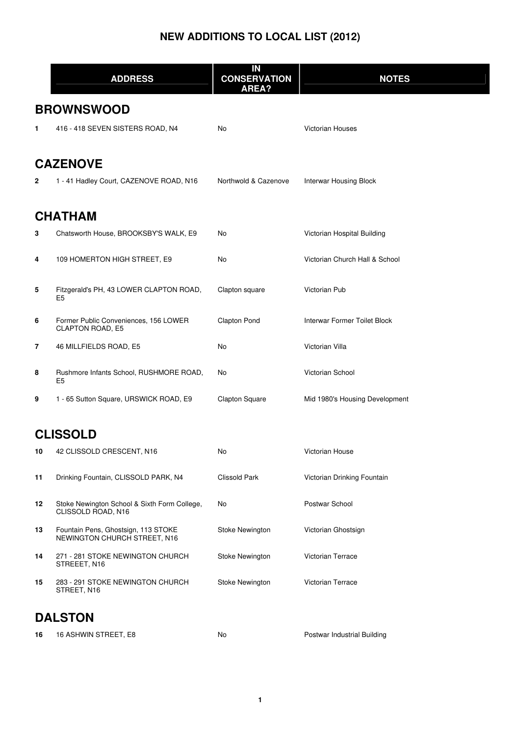|    | <b>ADDRESS</b>                                                      | IN<br><b>CONSERVATION</b><br>AREA? | <b>NOTES</b>                   |
|----|---------------------------------------------------------------------|------------------------------------|--------------------------------|
|    | <b>BROWNSWOOD</b>                                                   |                                    |                                |
| 1  | 416 - 418 SEVEN SISTERS ROAD, N4                                    | No                                 | <b>Victorian Houses</b>        |
|    | <b>CAZENOVE</b>                                                     |                                    |                                |
| 2  | 1 - 41 Hadley Court, CAZENOVE ROAD, N16                             | Northwold & Cazenove               | <b>Interwar Housing Block</b>  |
|    | CHATHAM                                                             |                                    |                                |
| 3  | Chatsworth House, BROOKSBY'S WALK, E9                               | No                                 | Victorian Hospital Building    |
| 4  | 109 HOMERTON HIGH STREET, E9                                        | No                                 | Victorian Church Hall & School |
| 5  | Fitzgerald's PH, 43 LOWER CLAPTON ROAD,<br>E5                       | Clapton square                     | Victorian Pub                  |
| 6  | Former Public Conveniences, 156 LOWER<br><b>CLAPTON ROAD, E5</b>    | <b>Clapton Pond</b>                | Interwar Former Toilet Block   |
| 7  | 46 MILLFIELDS ROAD, E5                                              | No                                 | Victorian Villa                |
| 8  | Rushmore Infants School, RUSHMORE ROAD,<br>E5                       | No                                 | Victorian School               |
| 9  | 1 - 65 Sutton Square, URSWICK ROAD, E9                              | <b>Clapton Square</b>              | Mid 1980's Housing Development |
|    | <b>CLISSOLD</b>                                                     |                                    |                                |
| 10 | 42 CLISSOLD CRESCENT, N16                                           | No.                                | Victorian House                |
| 11 | Drinking Fountain, CLISSOLD PARK, N4                                | <b>Clissold Park</b>               | Victorian Drinking Fountain    |
| 12 | Stoke Newington School & Sixth Form College,<br>CLISSOLD ROAD, N16  | No                                 | Postwar School                 |
| 13 | Fountain Pens, Ghostsign, 113 STOKE<br>NEWINGTON CHURCH STREET, N16 | Stoke Newington                    | Victorian Ghostsign            |
| 14 | 271 - 281 STOKE NEWINGTON CHURCH<br>STREEET, N16                    | Stoke Newington                    | Victorian Terrace              |
| 15 | 283 - 291 STOKE NEWINGTON CHURCH<br>STREET, N16                     | Stoke Newington                    | Victorian Terrace              |
|    | <b>DAI CTAN</b>                                                     |                                    |                                |

#### **DALSTON**

| 16 ASHWIN STREET, E8 | No |
|----------------------|----|
|                      |    |

Postwar Industrial Building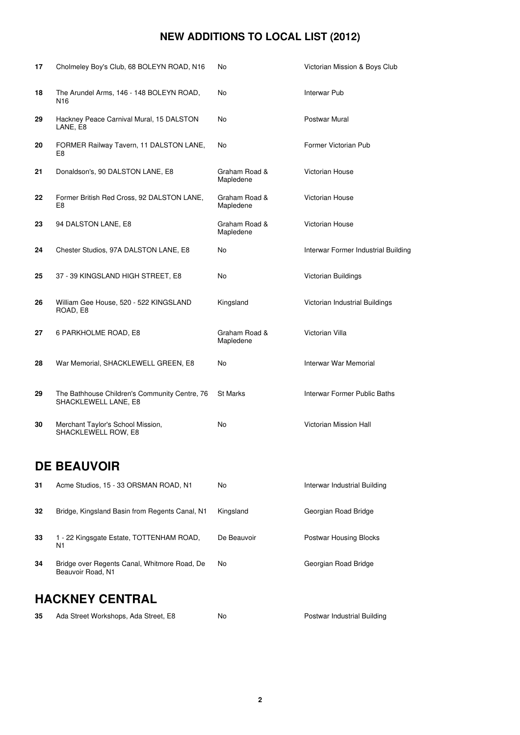| 17 | Cholmeley Boy's Club, 68 BOLEYN ROAD, N16                             | No                         | Victorian Mission & Boys Club       |
|----|-----------------------------------------------------------------------|----------------------------|-------------------------------------|
| 18 | The Arundel Arms, 146 - 148 BOLEYN ROAD,<br>N <sub>16</sub>           | No                         | Interwar Pub                        |
| 29 | Hackney Peace Carnival Mural, 15 DALSTON<br>LANE, E8                  | No                         | Postwar Mural                       |
| 20 | FORMER Railway Tavern, 11 DALSTON LANE,<br>E8                         | No                         | Former Victorian Pub                |
| 21 | Donaldson's, 90 DALSTON LANE, E8                                      | Graham Road &<br>Mapledene | Victorian House                     |
| 22 | Former British Red Cross, 92 DALSTON LANE,<br>E8                      | Graham Road &<br>Mapledene | Victorian House                     |
| 23 | 94 DALSTON LANE, E8                                                   | Graham Road &<br>Mapledene | Victorian House                     |
| 24 | Chester Studios, 97A DALSTON LANE, E8                                 | No                         | Interwar Former Industrial Building |
| 25 | 37 - 39 KINGSLAND HIGH STREET, E8                                     | No                         | Victorian Buildings                 |
| 26 | William Gee House, 520 - 522 KINGSLAND<br>ROAD, E8                    | Kingsland                  | Victorian Industrial Buildings      |
| 27 | 6 PARKHOLME ROAD, E8                                                  | Graham Road &<br>Mapledene | Victorian Villa                     |
| 28 | War Memorial, SHACKLEWELL GREEN, E8                                   | No                         | Interwar War Memorial               |
| 29 | The Bathhouse Children's Community Centre, 76<br>SHACKLEWELL LANE, E8 | St Marks                   | Interwar Former Public Baths        |
| 30 | Merchant Taylor's School Mission,<br>SHACKLEWELL ROW, E8              | No                         | Victorian Mission Hall              |
|    | <b>DE BEAUVOIR</b>                                                    |                            |                                     |
| 31 | Acme Studios, 15 - 33 ORSMAN ROAD, N1                                 | No                         | Interwar Industrial Building        |
| 32 | Bridge, Kingsland Basin from Regents Canal, N1                        | Kingsland                  | Georgian Road Bridge                |
| 33 | 1 - 22 Kingsgate Estate, TOTTENHAM ROAD,<br>N1                        | De Beauvoir                | <b>Postwar Housing Blocks</b>       |
| 34 | Bridge over Regents Canal, Whitmore Road, De<br>Beauvoir Road, N1     | No                         | Georgian Road Bridge                |

#### **HACKNEY CENTRAL**

| -35 | Ada Street Workshops, Ada Street, E8 | N |
|-----|--------------------------------------|---|
|-----|--------------------------------------|---|

**35 Adam Street Workshops, Adam Street, Adam Street, Adam Street, E8 No Postwar Industrial Building**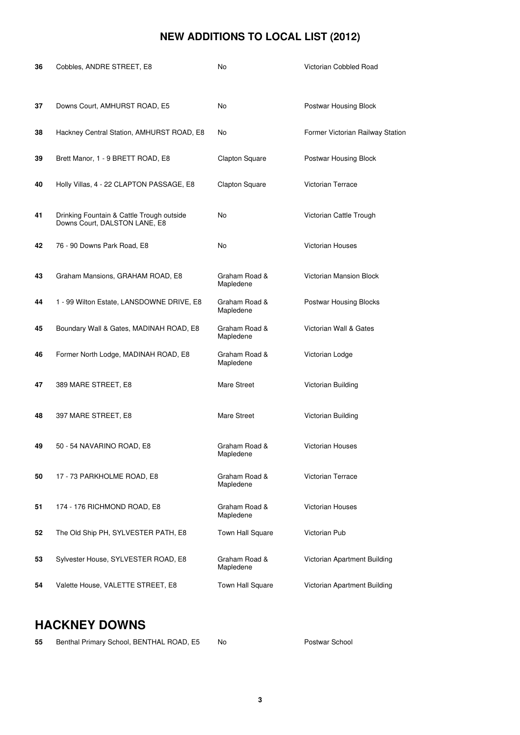| 36 | Cobbles, ANDRE STREET, E8                                                  | No                         | Victorian Cobbled Road           |
|----|----------------------------------------------------------------------------|----------------------------|----------------------------------|
|    |                                                                            |                            |                                  |
| 37 | Downs Court, AMHURST ROAD, E5                                              | No                         | Postwar Housing Block            |
| 38 | Hackney Central Station, AMHURST ROAD, E8                                  | No                         | Former Victorian Railway Station |
| 39 | Brett Manor, 1 - 9 BRETT ROAD, E8                                          | <b>Clapton Square</b>      | Postwar Housing Block            |
| 40 | Holly Villas, 4 - 22 CLAPTON PASSAGE, E8                                   | Clapton Square             | <b>Victorian Terrace</b>         |
| 41 | Drinking Fountain & Cattle Trough outside<br>Downs Court, DALSTON LANE, E8 | No                         | Victorian Cattle Trough          |
| 42 | 76 - 90 Downs Park Road, E8                                                | No                         | <b>Victorian Houses</b>          |
| 43 | Graham Mansions, GRAHAM ROAD, E8                                           | Graham Road &<br>Mapledene | <b>Victorian Mansion Block</b>   |
| 44 | 1 - 99 Wilton Estate, LANSDOWNE DRIVE, E8                                  | Graham Road &<br>Mapledene | <b>Postwar Housing Blocks</b>    |
| 45 | Boundary Wall & Gates, MADINAH ROAD, E8                                    | Graham Road &<br>Mapledene | Victorian Wall & Gates           |
| 46 | Former North Lodge, MADINAH ROAD, E8                                       | Graham Road &<br>Mapledene | Victorian Lodge                  |
| 47 | 389 MARE STREET, E8                                                        | Mare Street                | Victorian Building               |
| 48 | 397 MARE STREET, E8                                                        | Mare Street                | Victorian Building               |
| 49 | 50 - 54 NAVARINO ROAD, E8                                                  | Graham Road &<br>Mapledene | <b>Victorian Houses</b>          |
| 50 | 17 - 73 PARKHOLME ROAD, E8                                                 | Graham Road &<br>Mapledene | Victorian Terrace                |
| 51 | 174 - 176 RICHMOND ROAD, E8                                                | Graham Road &<br>Mapledene | <b>Victorian Houses</b>          |
| 52 | The Old Ship PH, SYLVESTER PATH, E8                                        | <b>Town Hall Square</b>    | Victorian Pub                    |
| 53 | Sylvester House, SYLVESTER ROAD, E8                                        | Graham Road &<br>Mapledene | Victorian Apartment Building     |
| 54 | Valette House, VALETTE STREET, E8                                          | Town Hall Square           | Victorian Apartment Building     |

## **HACKNEY DOWNS**

| - 55 | Benthal Primary School, BENTHAL ROAD, E5 | No | Postwar School |
|------|------------------------------------------|----|----------------|
|------|------------------------------------------|----|----------------|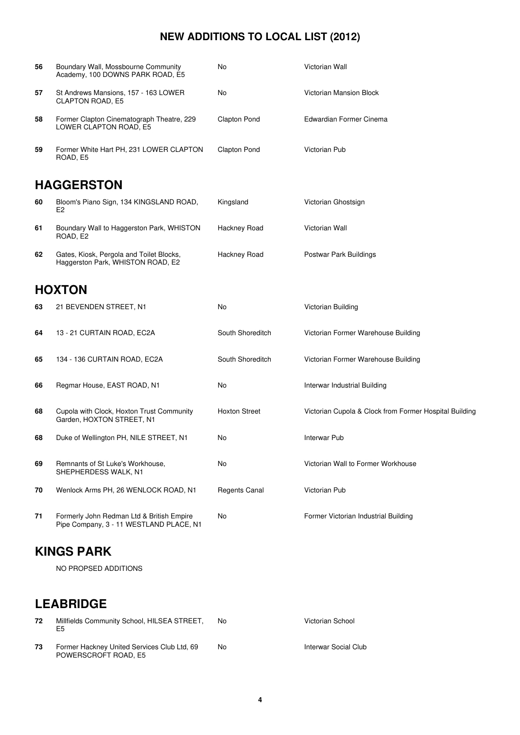| 56 | Boundary Wall, Mossbourne Community<br>Academy, 100 DOWNS PARK ROAD, E5              | No                   | Victorian Wall                                         |
|----|--------------------------------------------------------------------------------------|----------------------|--------------------------------------------------------|
| 57 | St Andrews Mansions, 157 - 163 LOWER<br><b>CLAPTON ROAD, E5</b>                      | No                   | Victorian Mansion Block                                |
| 58 | Former Clapton Cinematograph Theatre, 229<br>LOWER CLAPTON ROAD, E5                  | <b>Clapton Pond</b>  | Edwardian Former Cinema                                |
| 59 | Former White Hart PH, 231 LOWER CLAPTON<br>ROAD, E5                                  | <b>Clapton Pond</b>  | Victorian Pub                                          |
|    | <b>HAGGERSTON</b>                                                                    |                      |                                                        |
| 60 | Bloom's Piano Sign, 134 KINGSLAND ROAD,<br>E <sub>2</sub>                            | Kingsland            | Victorian Ghostsign                                    |
| 61 | Boundary Wall to Haggerston Park, WHISTON<br>ROAD, E2                                | Hackney Road         | Victorian Wall                                         |
| 62 | Gates, Kiosk, Pergola and Toilet Blocks,<br>Haggerston Park, WHISTON ROAD, E2        | Hackney Road         | Postwar Park Buildings                                 |
|    | <b>HOXTON</b>                                                                        |                      |                                                        |
| 63 | 21 BEVENDEN STREET, N1                                                               | No.                  | Victorian Building                                     |
| 64 | 13 - 21 CURTAIN ROAD, EC2A                                                           | South Shoreditch     | Victorian Former Warehouse Building                    |
| 65 | 134 - 136 CURTAIN ROAD, EC2A                                                         | South Shoreditch     | Victorian Former Warehouse Building                    |
| 66 | Regmar House, EAST ROAD, N1                                                          | No                   | Interwar Industrial Building                           |
| 68 | Cupola with Clock, Hoxton Trust Community<br>Garden, HOXTON STREET, N1               | <b>Hoxton Street</b> | Victorian Cupola & Clock from Former Hospital Building |
| 68 | Duke of Wellington PH, NILE STREET, N1                                               | No                   | <b>Interwar Pub</b>                                    |
| 69 | Remnants of St Luke's Workhouse.<br>SHEPHERDESS WALK, N1                             | No                   | Victorian Wall to Former Workhouse                     |
| 70 | Wenlock Arms PH, 26 WENLOCK ROAD, N1                                                 | Regents Canal        | Victorian Pub                                          |
| 71 | Formerly John Redman Ltd & British Empire<br>Pipe Company, 3 - 11 WESTLAND PLACE, N1 | No                   | Former Victorian Industrial Building                   |

#### **KINGS PARK**

NO PROPSED ADDITIONS

## **LEABRIDGE**

| 72 | Millfields Community School, HILSEA STREET,<br>E5                   | No. | Victorian School     |
|----|---------------------------------------------------------------------|-----|----------------------|
| 73 | Former Hackney United Services Club Ltd, 69<br>POWERSCROFT ROAD, E5 | No  | Interwar Social Club |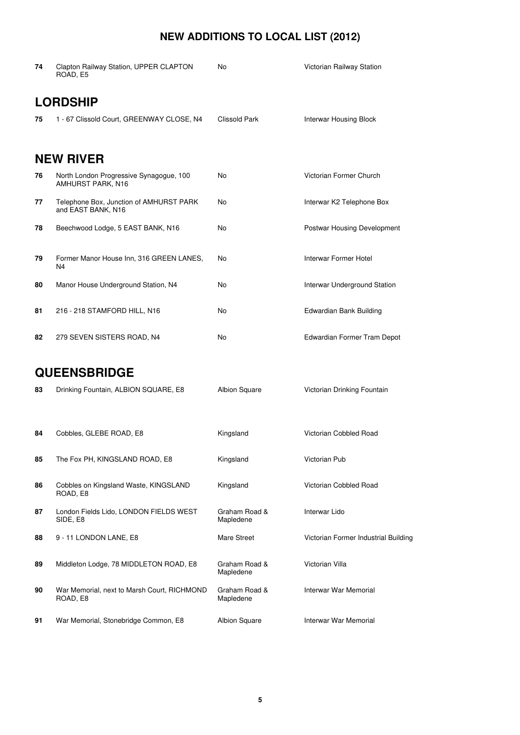| 74 | Clapton Railway Station, UPPER CLAPTON<br>ROAD, E5            | No                         | Victorian Railway Station            |
|----|---------------------------------------------------------------|----------------------------|--------------------------------------|
|    | <b>LORDSHIP</b>                                               |                            |                                      |
| 75 | 1 - 67 Clissold Court, GREENWAY CLOSE, N4                     | Clissold Park              | Interwar Housing Block               |
|    |                                                               |                            |                                      |
|    | <b>NEW RIVER</b>                                              |                            |                                      |
| 76 | North London Progressive Synagogue, 100<br>AMHURST PARK, N16  | No                         | Victorian Former Church              |
| 77 | Telephone Box, Junction of AMHURST PARK<br>and EAST BANK, N16 | No                         | Interwar K2 Telephone Box            |
| 78 | Beechwood Lodge, 5 EAST BANK, N16                             | No                         | Postwar Housing Development          |
| 79 | Former Manor House Inn, 316 GREEN LANES,<br>N4                | No                         | Interwar Former Hotel                |
| 80 | Manor House Underground Station, N4                           | No                         | Interwar Underground Station         |
| 81 | 216 - 218 STAMFORD HILL, N16                                  | No                         | Edwardian Bank Building              |
|    |                                                               |                            |                                      |
| 82 | 279 SEVEN SISTERS ROAD, N4                                    | No                         | Edwardian Former Tram Depot          |
|    | <b>QUEENSBRIDGE</b>                                           |                            |                                      |
|    |                                                               |                            |                                      |
| 83 | Drinking Fountain, ALBION SQUARE, E8                          | Albion Square              | Victorian Drinking Fountain          |
| 84 | Cobbles, GLEBE ROAD, E8                                       | Kingsland                  | Victorian Cobbled Road               |
|    |                                                               |                            |                                      |
| 85 | The Fox PH, KINGSLAND ROAD, E8                                | Kingsland                  | Victorian Pub                        |
| 86 | Cobbles on Kingsland Waste, KINGSLAND<br>ROAD, E8             | Kingsland                  | Victorian Cobbled Road               |
| 87 | London Fields Lido, LONDON FIELDS WEST<br>SIDE, E8            | Graham Road &<br>Mapledene | Interwar Lido                        |
| 88 | 9 - 11 LONDON LANE, E8                                        | Mare Street                | Victorian Former Industrial Building |
| 89 | Middleton Lodge, 78 MIDDLETON ROAD, E8                        | Graham Road &<br>Mapledene | Victorian Villa                      |
| 90 | War Memorial, next to Marsh Court, RICHMOND<br>ROAD, E8       | Graham Road &<br>Mapledene | Interwar War Memorial                |
| 91 | War Memorial, Stonebridge Common, E8                          | Albion Square              | Interwar War Memorial                |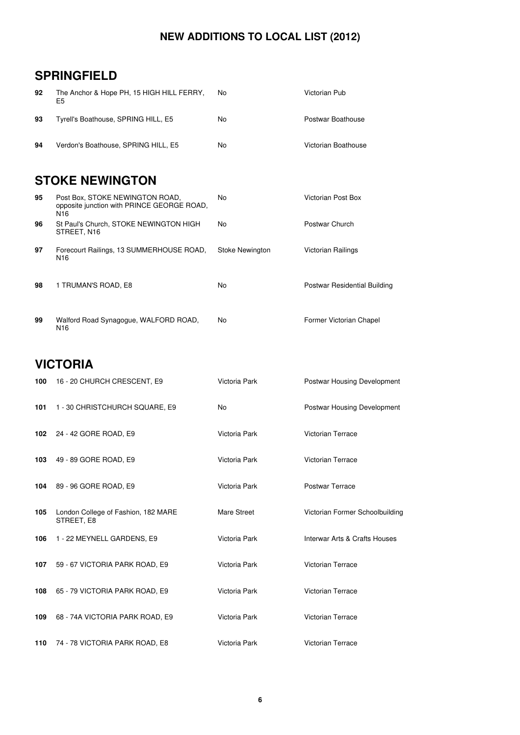#### **SPRINGFIELD**

| 92 | The Anchor & Hope PH, 15 HIGH HILL FERRY,<br>E5 | No. | Victorian Pub       |
|----|-------------------------------------------------|-----|---------------------|
| 93 | Tyrell's Boathouse, SPRING HILL, E5             | No  | Postwar Boathouse   |
| 94 | Verdon's Boathouse, SPRING HILL, E5             | No  | Victorian Boathouse |

#### **STOKE NEWINGTON**

| 95 | Post Box, STOKE NEWINGTON ROAD,<br>opposite junction with PRINCE GEORGE ROAD,<br>N16 | No              | Victorian Post Box           |
|----|--------------------------------------------------------------------------------------|-----------------|------------------------------|
| 96 | St Paul's Church, STOKE NEWINGTON HIGH<br>STREET, N16                                | No              | Postwar Church               |
| 97 | Forecourt Railings, 13 SUMMERHOUSE ROAD,<br>N <sub>16</sub>                          | Stoke Newington | Victorian Railings           |
| 98 | 1 TRUMAN'S ROAD, E8                                                                  | No              | Postwar Residential Building |
| 99 | Walford Road Synagogue, WALFORD ROAD,                                                | No              | Former Victorian Chapel      |

#### **VICTORIA**

N16

| 100 | 16 - 20 CHURCH CRESCENT, E9                       | Victoria Park | Postwar Housing Development     |
|-----|---------------------------------------------------|---------------|---------------------------------|
| 101 | 1 - 30 CHRISTCHURCH SQUARE, E9                    | No.           | Postwar Housing Development     |
| 102 | 24 - 42 GORE ROAD, E9                             | Victoria Park | <b>Victorian Terrace</b>        |
| 103 | 49 - 89 GORE ROAD, E9                             | Victoria Park | <b>Victorian Terrace</b>        |
| 104 | 89 - 96 GORE ROAD, E9                             | Victoria Park | Postwar Terrace                 |
| 105 | London College of Fashion, 182 MARE<br>STREET, E8 | Mare Street   | Victorian Former Schoolbuilding |
| 106 | 1 - 22 MEYNELL GARDENS, E9                        | Victoria Park | Interwar Arts & Crafts Houses   |
| 107 | 59 - 67 VICTORIA PARK ROAD, E9                    | Victoria Park | <b>Victorian Terrace</b>        |
| 108 | 65 - 79 VICTORIA PARK ROAD, E9                    | Victoria Park | Victorian Terrace               |
| 109 | 68 - 74A VICTORIA PARK ROAD, E9                   | Victoria Park | <b>Victorian Terrace</b>        |
| 110 | 74 - 78 VICTORIA PARK ROAD, E8                    | Victoria Park | Victorian Terrace               |